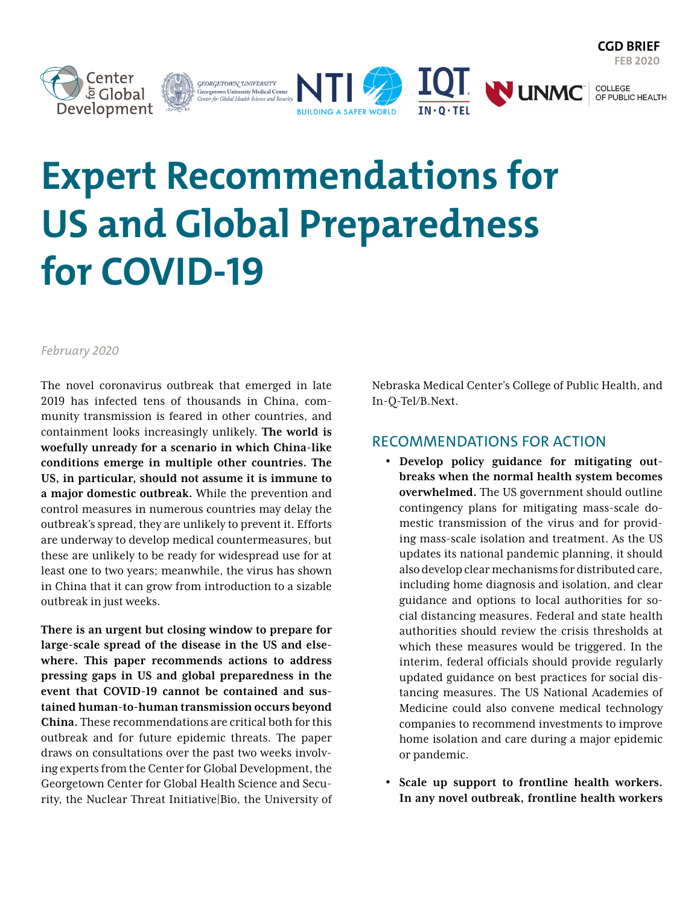**FEB 2020**

COLLEGE<br>OF PUBLIC HEALTH



# **Expert Recommendations for US and Global Preparedness for COVID-19**

GEORGETOWN UNIVERSITY<br>Georgetown University Medical Center<br>Center for Global Health Science and Security

## *February 2020*

The novel coronavirus outbreak that emerged in late 2019 has infected tens of thousands in China, community transmission is feared in other countries, and containment looks increasingly unlikely. **The world is woefully unready for a scenario in which China-like conditions emerge in multiple other countries. The US, in particular, should not assume it is immune to a major domestic outbreak.** While the prevention and control measures in numerous countries may delay the outbreak's spread, they are unlikely to prevent it. Efforts are underway to develop medical countermeasures, but these are unlikely to be ready for widespread use for at least one to two years; meanwhile, the virus has shown in China that it can grow from introduction to a sizable outbreak in just weeks.

**There is an urgent but closing window to prepare for large-scale spread of the disease in the US and elsewhere. This paper recommends actions to address pressing gaps in US and global preparedness in the event that COVID-19 cannot be contained and sustained human-to-human transmission occurs beyond China.** These recommendations are critical both for this outbreak and for future epidemic threats. The paper draws on consultations over the past two weeks involving experts from the Center for Global Development, the Georgetown Center for Global Health Science and Security, the Nuclear Threat Initiative|Bio, the University of Nebraska Medical Center's College of Public Health, and In-Q-Tel/B.Next.

**WUNMC** 

## RECOMMENDATIONS FOR ACTION

IQI.

- **Develop policy guidance for mitigating outbreaks when the normal health system becomes overwhelmed.** The US government should outline contingency plans for mitigating mass-scale domestic transmission of the virus and for providing mass-scale isolation and treatment. As the US updates its national pandemic planning, it should also develop clear mechanisms for distributed care, including home diagnosis and isolation, and clear guidance and options to local authorities for social distancing measures. Federal and state health authorities should review the crisis thresholds at which these measures would be triggered. In the interim, federal officials should provide regularly updated guidance on best practices for social distancing measures. The US National Academies of Medicine could also convene medical technology companies to recommend investments to improve home isolation and care during a major epidemic or pandemic.
- **Scale up support to frontline health workers. In any novel outbreak, frontline health workers**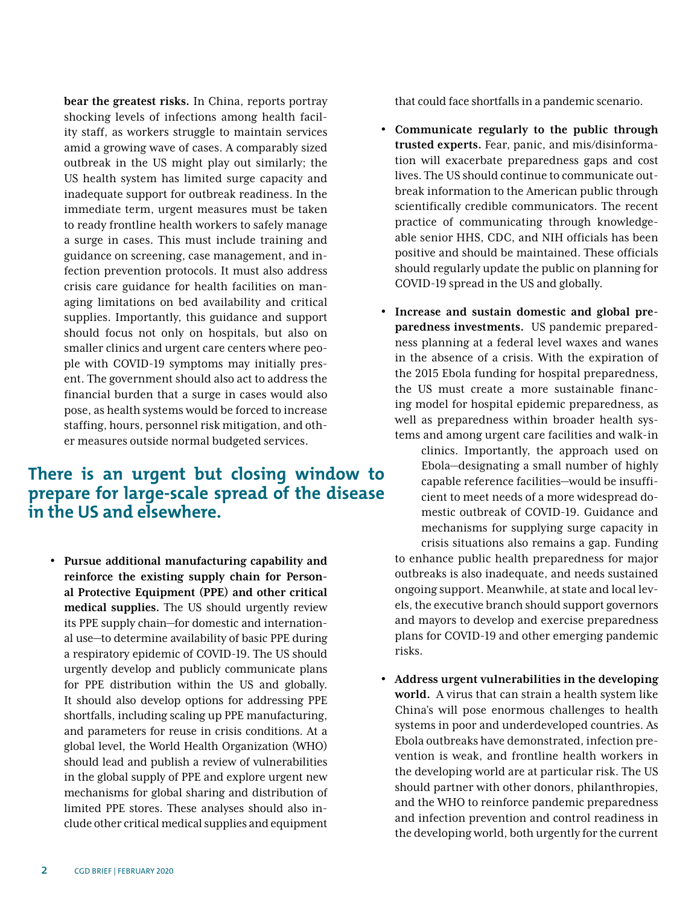**bear the greatest risks.** In China, reports portray shocking levels of infections among health facility staff, as workers struggle to maintain services amid a growing wave of cases. A comparably sized outbreak in the US might play out similarly; the US health system has limited surge capacity and inadequate support for outbreak readiness. In the immediate term, urgent measures must be taken to ready frontline health workers to safely manage a surge in cases. This must include training and guidance on screening, case management, and infection prevention protocols. It must also address crisis care guidance for health facilities on managing limitations on bed availability and critical supplies. Importantly, this guidance and support should focus not only on hospitals, but also on smaller clinics and urgent care centers where people with COVID-19 symptoms may initially present. The government should also act to address the financial burden that a surge in cases would also pose, as health systems would be forced to increase staffing, hours, personnel risk mitigation, and other measures outside normal budgeted services.

## **There is an urgent but closing window to prepare for large-scale spread of the disease in the US and elsewhere.**

• **Pursue additional manufacturing capability and reinforce the existing supply chain for Personal Protective Equipment (PPE) and other critical medical supplies.** The US should urgently review its PPE supply chain—for domestic and international use—to determine availability of basic PPE during a respiratory epidemic of COVID-19. The US should urgently develop and publicly communicate plans for PPE distribution within the US and globally. It should also develop options for addressing PPE shortfalls, including scaling up PPE manufacturing, and parameters for reuse in crisis conditions. At a global level, the World Health Organization (WHO) should lead and publish a review of vulnerabilities in the global supply of PPE and explore urgent new mechanisms for global sharing and distribution of limited PPE stores. These analyses should also include other critical medical supplies and equipment that could face shortfalls in a pandemic scenario.

- **Communicate regularly to the public through trusted experts.** Fear, panic, and mis/disinformation will exacerbate preparedness gaps and cost lives. The US should continue to communicate outbreak information to the American public through scientifically credible communicators. The recent practice of communicating through knowledgeable senior HHS, CDC, and NIH officials has been positive and should be maintained. These officials should regularly update the public on planning for COVID-19 spread in the US and globally.
- **Increase and sustain domestic and global preparedness investments.** US pandemic preparedness planning at a federal level waxes and wanes in the absence of a crisis. With the expiration of the 2015 Ebola funding for hospital preparedness, the US must create a more sustainable financing model for hospital epidemic preparedness, as well as preparedness within broader health systems and among urgent care facilities and walk-in

clinics. Importantly, the approach used on Ebola—designating a small number of highly capable reference facilities—would be insufficient to meet needs of a more widespread domestic outbreak of COVID-19. Guidance and mechanisms for supplying surge capacity in crisis situations also remains a gap. Funding to enhance public health preparedness for major outbreaks is also inadequate, and needs sustained ongoing support. Meanwhile, at state and local levels, the executive branch should support governors and mayors to develop and exercise preparedness plans for COVID-19 and other emerging pandemic risks.

• **Address urgent vulnerabilities in the developing world.** A virus that can strain a health system like China's will pose enormous challenges to health systems in poor and underdeveloped countries. As Ebola outbreaks have demonstrated, infection prevention is weak, and frontline health workers in the developing world are at particular risk. The US should partner with other donors, philanthropies, and the WHO to reinforce pandemic preparedness and infection prevention and control readiness in the developing world, both urgently for the current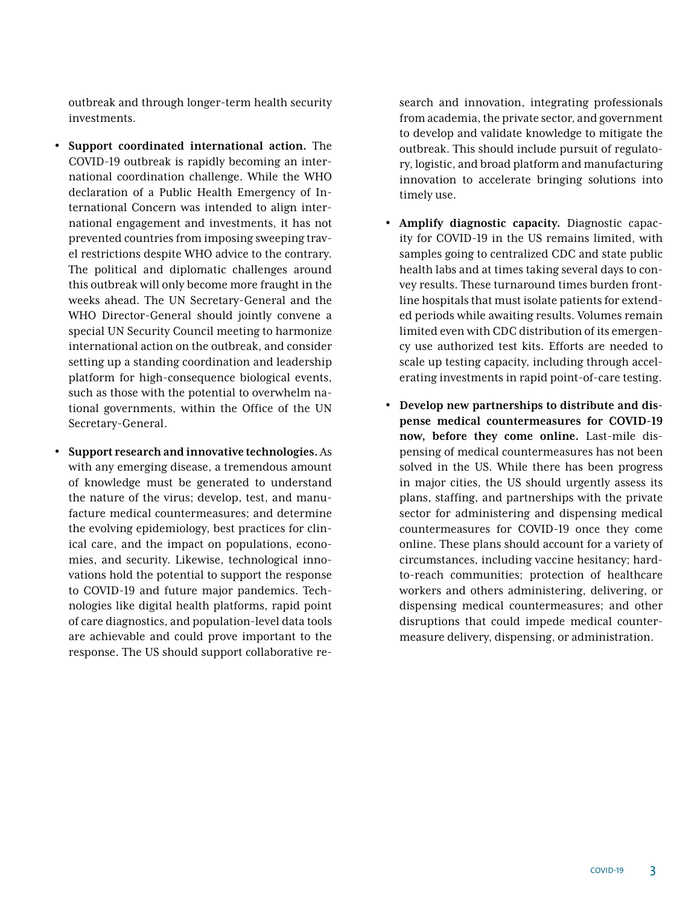outbreak and through longer-term health security investments.

- **Support coordinated international action.** The COVID-19 outbreak is rapidly becoming an international coordination challenge. While the WHO declaration of a Public Health Emergency of International Concern was intended to align international engagement and investments, it has not prevented countries from imposing sweeping travel restrictions despite WHO advice to the contrary. The political and diplomatic challenges around this outbreak will only become more fraught in the weeks ahead. The UN Secretary-General and the WHO Director-General should jointly convene a special UN Security Council meeting to harmonize international action on the outbreak, and consider setting up a standing coordination and leadership platform for high-consequence biological events, such as those with the potential to overwhelm national governments, within the Office of the UN Secretary-General.
- **Support research and innovative technologies.** As with any emerging disease, a tremendous amount of knowledge must be generated to understand the nature of the virus; develop, test, and manufacture medical countermeasures; and determine the evolving epidemiology, best practices for clinical care, and the impact on populations, economies, and security. Likewise, technological innovations hold the potential to support the response to COVID-19 and future major pandemics. Technologies like digital health platforms, rapid point of care diagnostics, and population-level data tools are achievable and could prove important to the response. The US should support collaborative re-

search and innovation, integrating professionals from academia, the private sector, and government to develop and validate knowledge to mitigate the outbreak. This should include pursuit of regulatory, logistic, and broad platform and manufacturing innovation to accelerate bringing solutions into timely use.

- **Amplify diagnostic capacity.** Diagnostic capacity for COVID-19 in the US remains limited, with samples going to centralized CDC and state public health labs and at times taking several days to convey results. These turnaround times burden frontline hospitals that must isolate patients for extended periods while awaiting results. Volumes remain limited even with CDC distribution of its emergency use authorized test kits. Efforts are needed to scale up testing capacity, including through accelerating investments in rapid point-of-care testing.
- **Develop new partnerships to distribute and dispense medical countermeasures for COVID-19 now, before they come online.** Last-mile dispensing of medical countermeasures has not been solved in the US. While there has been progress in major cities, the US should urgently assess its plans, staffing, and partnerships with the private sector for administering and dispensing medical countermeasures for COVID-19 once they come online. These plans should account for a variety of circumstances, including vaccine hesitancy; hardto-reach communities; protection of healthcare workers and others administering, delivering, or dispensing medical countermeasures; and other disruptions that could impede medical countermeasure delivery, dispensing, or administration.